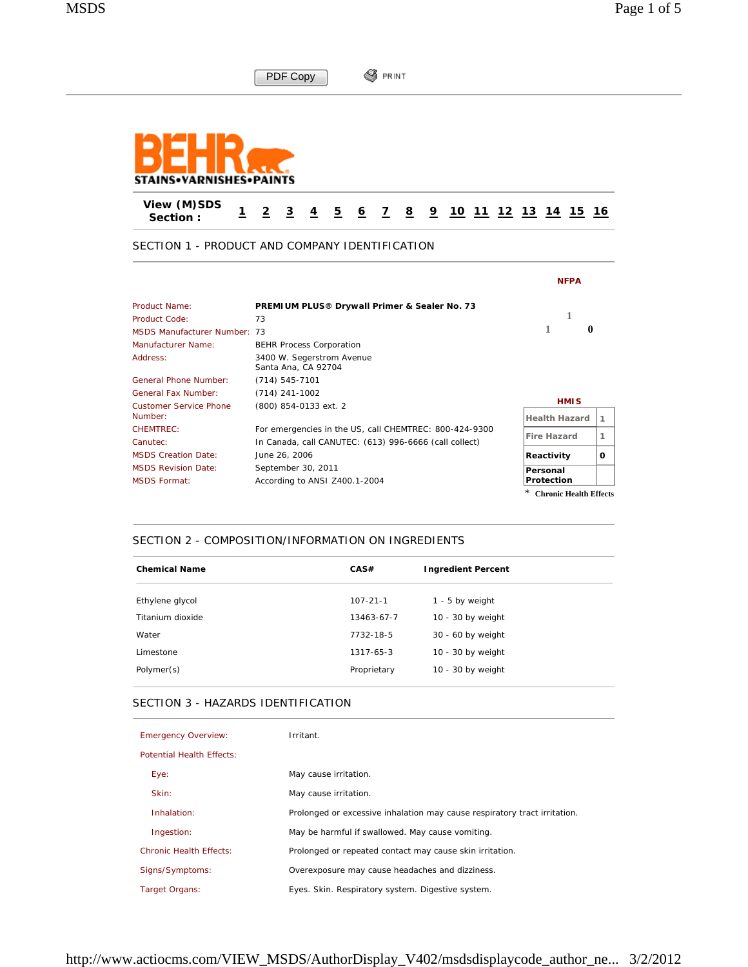|                                          | <b>PRINT</b>                                                                                                                    |                             |
|------------------------------------------|---------------------------------------------------------------------------------------------------------------------------------|-----------------------------|
|                                          | PDF Copy                                                                                                                        |                             |
|                                          |                                                                                                                                 |                             |
| STAINS•VARNISHES•PAINTS                  |                                                                                                                                 |                             |
| View (M)SDS<br>$\mathbf{1}$<br>Section:  | $\overline{2}$<br>3<br>$\overline{2}$<br>$\overline{4}$<br>$\overline{6}$<br>$\overline{7}$<br>8 <sup>2</sup><br>$\overline{2}$ | <u>10 11 12 13 14 15 16</u> |
|                                          | SECTION 1 - PRODUCT AND COMPANY IDENTIFICATION                                                                                  |                             |
|                                          |                                                                                                                                 | <b>NFPA</b>                 |
| Product Name:                            | PREMIUM PLUS® Drywall Primer & Sealer No. 73                                                                                    |                             |
| Product Code:                            | 73                                                                                                                              | 1                           |
| <b>MSDS Manufacturer Number: 73</b>      |                                                                                                                                 | 1<br>$\mathbf{0}$           |
| Manufacturer Name:                       | <b>BEHR Process Corporation</b>                                                                                                 |                             |
| Address:                                 | 3400 W. Segerstrom Avenue<br>Santa Ana, CA 92704                                                                                |                             |
| <b>General Phone Number:</b>             | $(714) 545 - 7101$                                                                                                              |                             |
| <b>General Fax Number:</b>               | $(714)$ 241-1002                                                                                                                | <b>HMIS</b>                 |
| <b>Customer Service Phone</b><br>Number: | (800) 854-0133 ext. 2                                                                                                           | <b>Health Hazard</b><br>1   |
| CHEMTREC:                                | For emergencies in the US, call CHEMTREC: 800-424-9300                                                                          |                             |
| Canutec:                                 | In Canada, call CANUTEC: (613) 996-6666 (call collect)                                                                          | <b>Fire Hazard</b><br>1     |
| <b>MSDS Creation Date:</b>               | June 26, 2006                                                                                                                   | Reactivity<br>0             |
| <b>MSDS Revision Date:</b>               | September 30, 2011                                                                                                              | Personal                    |
| <b>MSDS Format:</b>                      | According to ANSI Z400.1-2004                                                                                                   | Protection                  |
|                                          |                                                                                                                                 | * Chronic Health Effects    |

### SECTION 2 - COMPOSITION/INFORMATION ON INGREDIENTS

| <b>Chemical Name</b> | CAS#            | <b>Ingredient Percent</b> |
|----------------------|-----------------|---------------------------|
| Ethylene glycol      | $107 - 21 - 1$  | $1 - 5$ by weight         |
| Titanium dioxide     | 13463-67-7      | $10 - 30$ by weight       |
| Water                | 7732-18-5       | 30 - 60 by weight         |
| Limestone            | $1317 - 65 - 3$ | $10 - 30$ by weight       |
| Polymer(s)           | Proprietary     | $10 - 30$ by weight       |

## SECTION 3 - HAZARDS IDENTIFICATION

| <b>Emergency Overview:</b>       | Irritant.                                                                 |
|----------------------------------|---------------------------------------------------------------------------|
| <b>Potential Health Effects:</b> |                                                                           |
| Eye:                             | May cause irritation.                                                     |
| Skin:                            | May cause irritation.                                                     |
| Inhalation:                      | Prolonged or excessive inhalation may cause respiratory tract irritation. |
| Ingestion:                       | May be harmful if swallowed. May cause vomiting.                          |
| <b>Chronic Health Effects:</b>   | Prolonged or repeated contact may cause skin irritation.                  |
| Signs/Symptoms:                  | Overexposure may cause headaches and dizziness.                           |
| <b>Target Organs:</b>            | Eyes. Skin. Respiratory system. Digestive system.                         |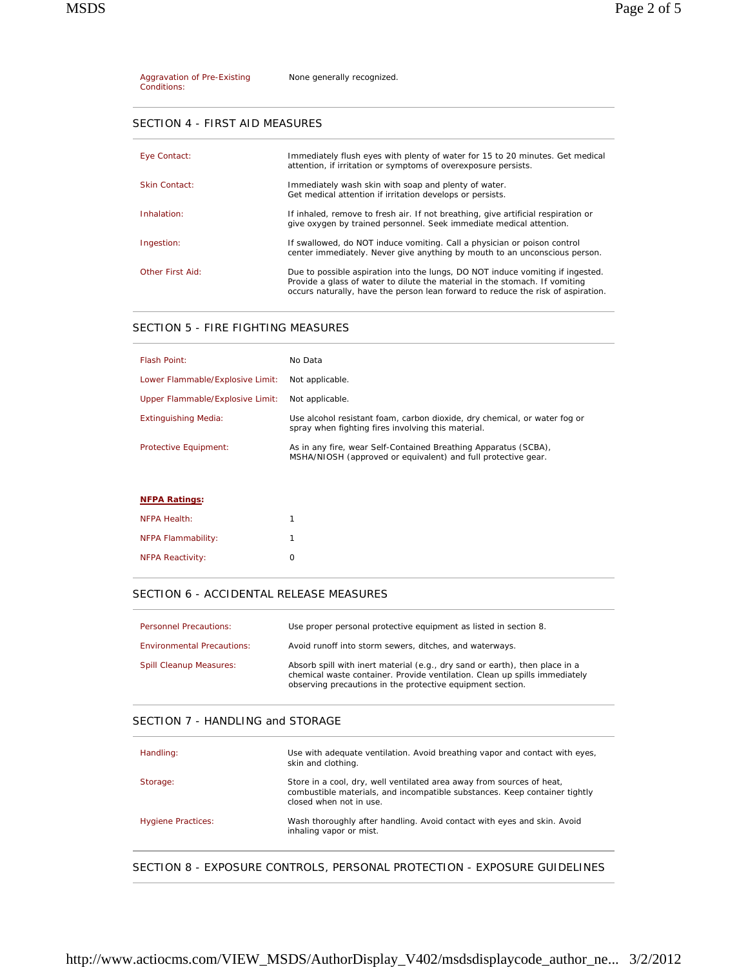| Aggravation of Pre-Existing | None generally recognized. |
|-----------------------------|----------------------------|
| Conditions:                 |                            |

## SECTION 4 - FIRST AID MEASURES

| Eye Contact:     | Immediately flush eyes with plenty of water for 15 to 20 minutes. Get medical<br>attention, if irritation or symptoms of overexposure persists.                                                                                                   |
|------------------|---------------------------------------------------------------------------------------------------------------------------------------------------------------------------------------------------------------------------------------------------|
| Skin Contact:    | Immediately wash skin with soap and plenty of water.<br>Get medical attention if irritation develops or persists.                                                                                                                                 |
| Inhalation:      | If inhaled, remove to fresh air. If not breathing, give artificial respiration or<br>give oxygen by trained personnel. Seek immediate medical attention.                                                                                          |
| Ingestion:       | If swallowed, do NOT induce vomiting. Call a physician or poison control<br>center immediately. Never give anything by mouth to an unconscious person.                                                                                            |
| Other First Aid: | Due to possible aspiration into the lungs, DO NOT induce vomiting if ingested.<br>Provide a glass of water to dilute the material in the stomach. If vomiting<br>occurs naturally, have the person lean forward to reduce the risk of aspiration. |

# SECTION 5 - FIRE FIGHTING MEASURES

| Flash Point:                     | No Data                                                                                                                          |
|----------------------------------|----------------------------------------------------------------------------------------------------------------------------------|
| Lower Flammable/Explosive Limit: | Not applicable.                                                                                                                  |
| Upper Flammable/Explosive Limit: | Not applicable.                                                                                                                  |
| Extinguishing Media:             | Use alcohol resistant foam, carbon dioxide, dry chemical, or water fog or<br>spray when fighting fires involving this material.  |
| Protective Equipment:            | As in any fire, wear Self-Contained Breathing Apparatus (SCBA),<br>MSHA/NIOSH (approved or equivalent) and full protective gear. |
|                                  |                                                                                                                                  |

## **NFPA Ratings:**

| NFPA Health:            |   |
|-------------------------|---|
| NFPA Flammability:      |   |
| <b>NFPA Reactivity:</b> | O |

# SECTION 6 - ACCIDENTAL RELEASE MEASURES

| <b>Personnel Precautions:</b>     | Use proper personal protective equipment as listed in section 8.                                                                                                                                                        |
|-----------------------------------|-------------------------------------------------------------------------------------------------------------------------------------------------------------------------------------------------------------------------|
| <b>Environmental Precautions:</b> | Avoid runoff into storm sewers, ditches, and waterways.                                                                                                                                                                 |
| <b>Spill Cleanup Measures:</b>    | Absorb spill with inert material (e.g., dry sand or earth), then place in a<br>chemical waste container. Provide ventilation. Clean up spills immediately<br>observing precautions in the protective equipment section. |

# SECTION 7 - HANDLING and STORAGE

| Handling:                 | Use with adequate ventilation. Avoid breathing vapor and contact with eyes,<br>skin and clothing.                                                                              |
|---------------------------|--------------------------------------------------------------------------------------------------------------------------------------------------------------------------------|
| Storage:                  | Store in a cool, dry, well ventilated area away from sources of heat,<br>combustible materials, and incompatible substances. Keep container tightly<br>closed when not in use. |
| <b>Hygiene Practices:</b> | Wash thoroughly after handling. Avoid contact with eyes and skin. Avoid<br>inhaling vapor or mist.                                                                             |
|                           |                                                                                                                                                                                |

# SECTION 8 - EXPOSURE CONTROLS, PERSONAL PROTECTION - EXPOSURE GUIDELINES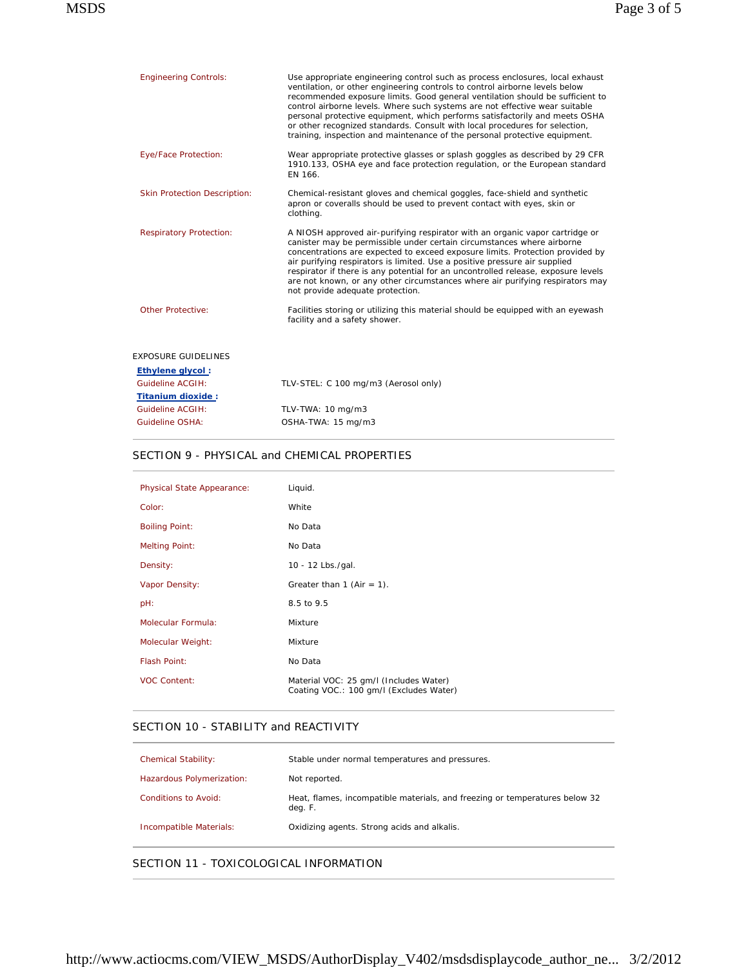| <b>Engineering Controls:</b>        | Use appropriate engineering control such as process enclosures, local exhaust<br>ventilation, or other engineering controls to control airborne levels below<br>recommended exposure limits. Good general ventilation should be sufficient to<br>control airborne levels. Where such systems are not effective wear suitable<br>personal protective equipment, which performs satisfactorily and meets OSHA<br>or other recognized standards. Consult with local procedures for selection,<br>training, inspection and maintenance of the personal protective equipment. |
|-------------------------------------|--------------------------------------------------------------------------------------------------------------------------------------------------------------------------------------------------------------------------------------------------------------------------------------------------------------------------------------------------------------------------------------------------------------------------------------------------------------------------------------------------------------------------------------------------------------------------|
| Eye/Face Protection:                | Wear appropriate protective glasses or splash goggles as described by 29 CFR<br>1910.133, OSHA eye and face protection regulation, or the European standard<br>EN 166.                                                                                                                                                                                                                                                                                                                                                                                                   |
| <b>Skin Protection Description:</b> | Chemical-resistant gloves and chemical goggles, face-shield and synthetic<br>apron or coveralls should be used to prevent contact with eyes, skin or<br>clothing.                                                                                                                                                                                                                                                                                                                                                                                                        |
| <b>Respiratory Protection:</b>      | A NIOSH approved air-purifying respirator with an organic vapor cartridge or<br>canister may be permissible under certain circumstances where airborne<br>concentrations are expected to exceed exposure limits. Protection provided by<br>air purifying respirators is limited. Use a positive pressure air supplied<br>respirator if there is any potential for an uncontrolled release, exposure levels<br>are not known, or any other circumstances where air purifying respirators may<br>not provide adequate protection.                                          |
| Other Protective:                   | Facilities storing or utilizing this material should be equipped with an eyewash<br>facility and a safety shower.                                                                                                                                                                                                                                                                                                                                                                                                                                                        |
| <b>EXPOSURE GUIDELINES</b>          |                                                                                                                                                                                                                                                                                                                                                                                                                                                                                                                                                                          |
| <b>Ethylene glycol:</b>             |                                                                                                                                                                                                                                                                                                                                                                                                                                                                                                                                                                          |
| Guideline ACGIH:                    | TLV-STEL: C 100 mg/m3 (Aerosol only)                                                                                                                                                                                                                                                                                                                                                                                                                                                                                                                                     |
| Titanium dioxide:                   |                                                                                                                                                                                                                                                                                                                                                                                                                                                                                                                                                                          |
| Guideline ACGIH:                    | TLV-TWA: 10 mg/m3                                                                                                                                                                                                                                                                                                                                                                                                                                                                                                                                                        |
| Guideline OSHA:                     | OSHA-TWA: 15 mg/m3                                                                                                                                                                                                                                                                                                                                                                                                                                                                                                                                                       |

#### SECTION 9 - PHYSICAL and CHEMICAL PROPERTIES

| Physical State Appearance: | Liquid.                                                                           |
|----------------------------|-----------------------------------------------------------------------------------|
|                            |                                                                                   |
| Color:                     | White                                                                             |
| <b>Boiling Point:</b>      | No Data                                                                           |
| <b>Melting Point:</b>      | No Data                                                                           |
| Density:                   | 10 - 12 Lbs./gal.                                                                 |
| Vapor Density:             | Greater than 1 (Air = 1).                                                         |
| pH:                        | 8.5 to 9.5                                                                        |
| Molecular Formula:         | Mixture                                                                           |
| Molecular Weight:          | Mixture                                                                           |
| Flash Point:               | No Data                                                                           |
| <b>VOC Content:</b>        | Material VOC: 25 gm/l (Includes Water)<br>Coating VOC.: 100 gm/l (Excludes Water) |

## SECTION 10 - STABILITY and REACTIVITY

| <b>Chemical Stability:</b> | Stable under normal temperatures and pressures.                                        |
|----------------------------|----------------------------------------------------------------------------------------|
| Hazardous Polymerization:  | Not reported.                                                                          |
| Conditions to Avoid:       | Heat, flames, incompatible materials, and freezing or temperatures below 32<br>deg. F. |
| Incompatible Materials:    | Oxidizing agents. Strong acids and alkalis.                                            |

SECTION 11 - TOXICOLOGICAL INFORMATION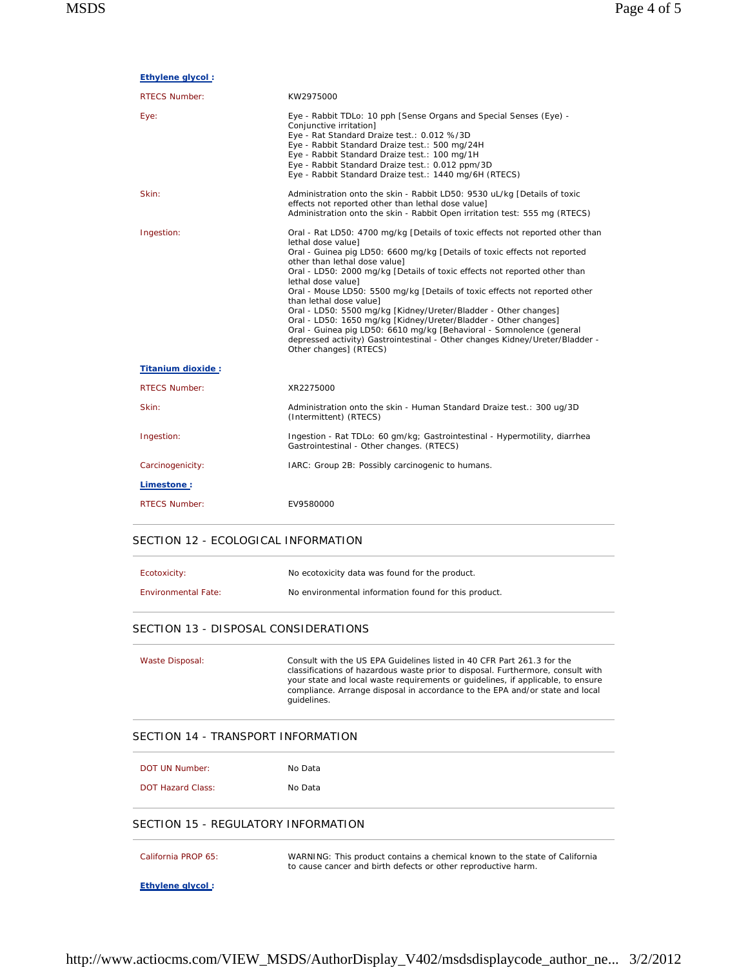**Ethylene glycol :**

| <b>RTECS Number:</b>     | KW2975000                                                                                                                                                                                                                                                                                                                                                                                                                                                                                                                                                                                                                                                                                                                                             |
|--------------------------|-------------------------------------------------------------------------------------------------------------------------------------------------------------------------------------------------------------------------------------------------------------------------------------------------------------------------------------------------------------------------------------------------------------------------------------------------------------------------------------------------------------------------------------------------------------------------------------------------------------------------------------------------------------------------------------------------------------------------------------------------------|
| Eye:                     | Eye - Rabbit TDLo: 10 pph [Sense Organs and Special Senses (Eye) -<br>Conjunctive irritation]<br>Eye - Rat Standard Draize test.: 0.012 %/3D<br>Eye - Rabbit Standard Draize test.: 500 mg/24H<br>Eye - Rabbit Standard Draize test.: 100 mg/1H<br>Eye - Rabbit Standard Draize test.: 0.012 ppm/3D<br>Eye - Rabbit Standard Draize test.: 1440 mg/6H (RTECS)                                                                                                                                                                                                                                                                                                                                                                                         |
| Skin:                    | Administration onto the skin - Rabbit LD50: 9530 uL/kg [Details of toxic<br>effects not reported other than lethal dose value]<br>Administration onto the skin - Rabbit Open irritation test: 555 mg (RTECS)                                                                                                                                                                                                                                                                                                                                                                                                                                                                                                                                          |
| Ingestion:               | Oral - Rat LD50: 4700 mg/kg [Details of toxic effects not reported other than<br>lethal dose value]<br>Oral - Guinea pig LD50: 6600 mg/kg [Details of toxic effects not reported<br>other than lethal dose value]<br>Oral - LD50: 2000 mg/kg [Details of toxic effects not reported other than<br>lethal dose value]<br>Oral - Mouse LD50: 5500 mg/kg [Details of toxic effects not reported other<br>than lethal dose value]<br>Oral - LD50: 5500 mg/kg [Kidney/Ureter/Bladder - Other changes]<br>Oral - LD50: 1650 mg/kg [Kidney/Ureter/Bladder - Other changes]<br>Oral - Guinea pig LD50: 6610 mg/kg [Behavioral - Somnolence (general<br>depressed activity) Gastrointestinal - Other changes Kidney/Ureter/Bladder -<br>Other changes] (RTECS) |
| <b>Titanium dioxide:</b> |                                                                                                                                                                                                                                                                                                                                                                                                                                                                                                                                                                                                                                                                                                                                                       |
| <b>RTECS Number:</b>     | XR2275000                                                                                                                                                                                                                                                                                                                                                                                                                                                                                                                                                                                                                                                                                                                                             |
| Skin:                    | Administration onto the skin - Human Standard Draize test.: 300 ug/3D<br>(Intermittent) (RTECS)                                                                                                                                                                                                                                                                                                                                                                                                                                                                                                                                                                                                                                                       |
| Ingestion:               | Ingestion - Rat TDLo: 60 gm/kg; Gastrointestinal - Hypermotility, diarrhea<br>Gastrointestinal - Other changes. (RTECS)                                                                                                                                                                                                                                                                                                                                                                                                                                                                                                                                                                                                                               |
| Carcinogenicity:         | IARC: Group 2B: Possibly carcinogenic to humans.                                                                                                                                                                                                                                                                                                                                                                                                                                                                                                                                                                                                                                                                                                      |
| Limestone:               |                                                                                                                                                                                                                                                                                                                                                                                                                                                                                                                                                                                                                                                                                                                                                       |
| <b>RTECS Number:</b>     | EV9580000                                                                                                                                                                                                                                                                                                                                                                                                                                                                                                                                                                                                                                                                                                                                             |

#### SECTION 12 - ECOLOGICAL INFORMATION

| Ecotoxicity:               | No ecotoxicity data was found for the product.       |
|----------------------------|------------------------------------------------------|
| <b>Environmental Fate:</b> | No environmental information found for this product. |

#### SECTION 13 - DISPOSAL CONSIDERATIONS

Waste Disposal: Consult with the US EPA Guidelines listed in 40 CFR Part 261.3 for the classifications of hazardous waste prior to disposal. Furthermore, consult with your state and local waste requirements or guidelines, if applicable, to ensure compliance. Arrange disposal in accordance to the EPA and/or state and local guidelines.

## SECTION 14 - TRANSPORT INFORMATION

| DOT UN Number:           | No Data |
|--------------------------|---------|
| <b>DOT Hazard Class:</b> | No Data |

#### SECTION 15 - REGULATORY INFORMATION

| California PROP 65: | WARNING: This product contains a chemical known to the state of California<br>to cause cancer and birth defects or other reproductive harm. |
|---------------------|---------------------------------------------------------------------------------------------------------------------------------------------|
| Ethylene glycol:    |                                                                                                                                             |